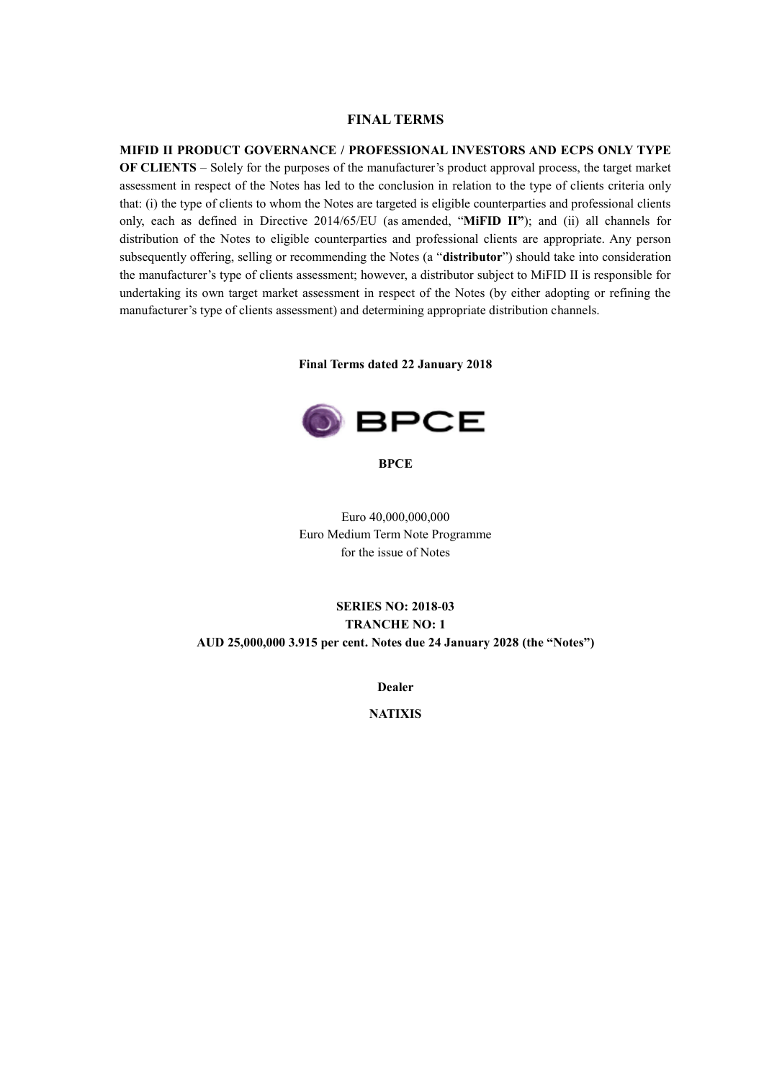## **FINAL TERMS**

## **MIFID II PRODUCT GOVERNANCE / PROFESSIONAL INVESTORS AND ECPS ONLY TYPE**

**OF CLIENTS** – Solely for the purposes of the manufacturer's product approval process, the target market assessment in respect of the Notes has led to the conclusion in relation to the type of clients criteria only that: (i) the type of clients to whom the Notes are targeted is eligible counterparties and professional clients only, each as defined in Directive 2014/65/EU (as amended, "**MiFID II"**); and (ii) all channels for distribution of the Notes to eligible counterparties and professional clients are appropriate. Any person subsequently offering, selling or recommending the Notes (a "**distributor**") should take into consideration the manufacturer's type of clients assessment; however, a distributor subject to MiFID II is responsible for undertaking its own target market assessment in respect of the Notes (by either adopting or refining the manufacturer's type of clients assessment) and determining appropriate distribution channels.

**Final Terms dated 22 January 2018**



#### **BPCE**

Euro 40,000,000,000 Euro Medium Term Note Programme for the issue of Notes

# **SERIES NO: 2018-03 TRANCHE NO: 1 AUD 25,000,000 3.915 per cent. Notes due 24 January 2028 (the "Notes")**

**Dealer**

**NATIXIS**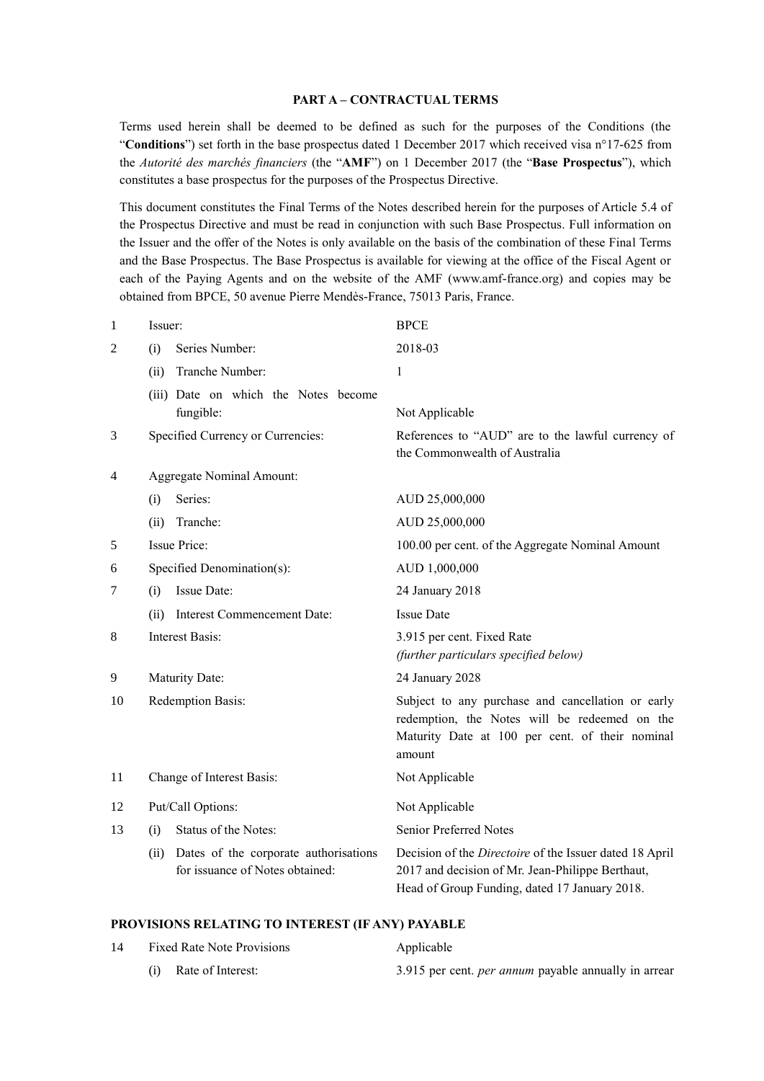#### **PART A – CONTRACTUAL TERMS**

Terms used herein shall be deemed to be defined as such for the purposes of the Conditions (the "**Conditions**") set forth in the base prospectus dated 1 December 2017 which received visa n°17-625 from the *Autorité des marchés financiers* (the "**AMF**") on 1 December 2017 (the "**Base Prospectus**"), which constitutes a base prospectus for the purposes of the Prospectus Directive.

This document constitutes the Final Terms of the Notes described herein for the purposes of Article 5.4 of the Prospectus Directive and must be read in conjunction with such Base Prospectus. Full information on the Issuer and the offer of the Notes is only available on the basis of the combination of these Final Terms and the Base Prospectus. The Base Prospectus is available for viewing at the office of the Fiscal Agent or each of the Paying Agents and on the website of the AMF (www.amf-france.org) and copies may be obtained from BPCE, 50 avenue Pierre Mendès-France, 75013 Paris, France.

| $\mathbf{1}$   | Issuer:                                                                          | <b>BPCE</b>                                                                                                                                                         |
|----------------|----------------------------------------------------------------------------------|---------------------------------------------------------------------------------------------------------------------------------------------------------------------|
| $\overline{2}$ | Series Number:<br>(i)                                                            | 2018-03                                                                                                                                                             |
|                | Tranche Number:<br>(ii)                                                          | 1                                                                                                                                                                   |
|                | (iii) Date on which the Notes become<br>fungible:                                | Not Applicable                                                                                                                                                      |
| 3              | Specified Currency or Currencies:                                                | References to "AUD" are to the lawful currency of<br>the Commonwealth of Australia                                                                                  |
| 4              | Aggregate Nominal Amount:                                                        |                                                                                                                                                                     |
|                | Series:<br>(i)                                                                   | AUD 25,000,000                                                                                                                                                      |
|                | Tranche:<br>(ii)                                                                 | AUD 25,000,000                                                                                                                                                      |
| 5              | <b>Issue Price:</b>                                                              | 100.00 per cent. of the Aggregate Nominal Amount                                                                                                                    |
| 6              | Specified Denomination(s):                                                       | AUD 1,000,000                                                                                                                                                       |
| 7              | Issue Date:<br>(i)                                                               | 24 January 2018                                                                                                                                                     |
|                | <b>Interest Commencement Date:</b><br>(ii)                                       | <b>Issue Date</b>                                                                                                                                                   |
| 8              | <b>Interest Basis:</b>                                                           | 3.915 per cent. Fixed Rate<br>(further particulars specified below)                                                                                                 |
| 9              | Maturity Date:                                                                   | 24 January 2028                                                                                                                                                     |
| 10             | Redemption Basis:                                                                | Subject to any purchase and cancellation or early<br>redemption, the Notes will be redeemed on the<br>Maturity Date at 100 per cent. of their nominal<br>amount     |
| 11             | Change of Interest Basis:                                                        | Not Applicable                                                                                                                                                      |
| 12             | Put/Call Options:                                                                | Not Applicable                                                                                                                                                      |
| 13             | Status of the Notes:<br>(i)                                                      | Senior Preferred Notes                                                                                                                                              |
|                | Dates of the corporate authorisations<br>(ii)<br>for issuance of Notes obtained: | Decision of the <i>Directoire</i> of the Issuer dated 18 April<br>2017 and decision of Mr. Jean-Philippe Berthaut,<br>Head of Group Funding, dated 17 January 2018. |

#### **PROVISIONS RELATING TO INTEREST (IF ANY) PAYABLE**

| 14 | <b>Fixed Rate Note Provisions</b> | Applicable                                                  |
|----|-----------------------------------|-------------------------------------------------------------|
|    | (i) Rate of Interest:             | 3.915 per cent. <i>per annum</i> payable annually in arrear |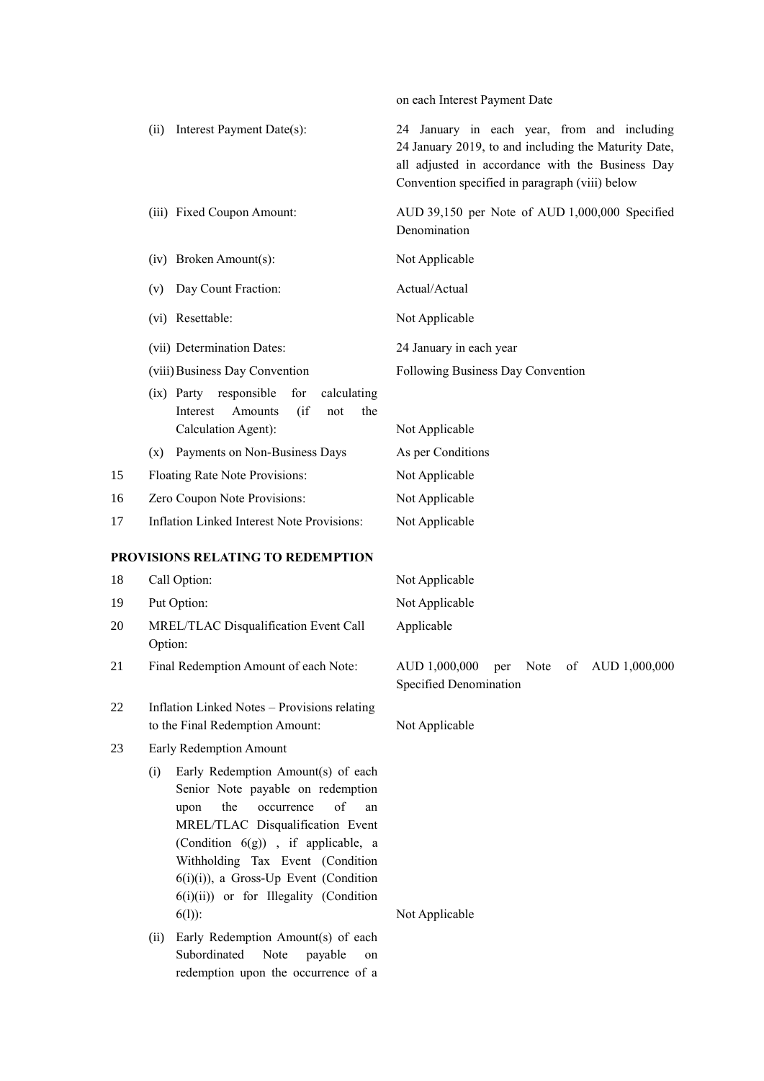|    |                                                                                                                                                                                                                                                                                                                                         | on each Interest Payment Date                                                                                                                                                                             |
|----|-----------------------------------------------------------------------------------------------------------------------------------------------------------------------------------------------------------------------------------------------------------------------------------------------------------------------------------------|-----------------------------------------------------------------------------------------------------------------------------------------------------------------------------------------------------------|
|    | Interest Payment Date(s):<br>(ii)                                                                                                                                                                                                                                                                                                       | 24 January in each year, from and including<br>24 January 2019, to and including the Maturity Date,<br>all adjusted in accordance with the Business Day<br>Convention specified in paragraph (viii) below |
|    | (iii) Fixed Coupon Amount:                                                                                                                                                                                                                                                                                                              | AUD 39,150 per Note of AUD 1,000,000 Specified<br>Denomination                                                                                                                                            |
|    | (iv) Broken Amount(s):                                                                                                                                                                                                                                                                                                                  | Not Applicable                                                                                                                                                                                            |
|    | Day Count Fraction:<br>(v)                                                                                                                                                                                                                                                                                                              | Actual/Actual                                                                                                                                                                                             |
|    | (vi) Resettable:                                                                                                                                                                                                                                                                                                                        | Not Applicable                                                                                                                                                                                            |
|    | (vii) Determination Dates:                                                                                                                                                                                                                                                                                                              | 24 January in each year                                                                                                                                                                                   |
|    | (viii) Business Day Convention                                                                                                                                                                                                                                                                                                          | Following Business Day Convention                                                                                                                                                                         |
|    | for<br>$(ix)$ Party<br>responsible<br>calculating<br>Amounts<br>$($ if<br>Interest<br>not<br>the<br>Calculation Agent):                                                                                                                                                                                                                 | Not Applicable                                                                                                                                                                                            |
|    | Payments on Non-Business Days<br>(x)                                                                                                                                                                                                                                                                                                    | As per Conditions                                                                                                                                                                                         |
| 15 | Floating Rate Note Provisions:                                                                                                                                                                                                                                                                                                          | Not Applicable                                                                                                                                                                                            |
| 16 | Zero Coupon Note Provisions:                                                                                                                                                                                                                                                                                                            | Not Applicable                                                                                                                                                                                            |
| 17 | <b>Inflation Linked Interest Note Provisions:</b>                                                                                                                                                                                                                                                                                       | Not Applicable                                                                                                                                                                                            |
|    | PROVISIONS RELATING TO REDEMPTION                                                                                                                                                                                                                                                                                                       |                                                                                                                                                                                                           |
| 18 | Call Option:                                                                                                                                                                                                                                                                                                                            | Not Applicable                                                                                                                                                                                            |
| 19 | Put Option:                                                                                                                                                                                                                                                                                                                             | Not Applicable                                                                                                                                                                                            |
| 20 | MREL/TLAC Disqualification Event Call<br>Option:                                                                                                                                                                                                                                                                                        | Applicable                                                                                                                                                                                                |
| 21 | Final Redemption Amount of each Note:                                                                                                                                                                                                                                                                                                   | AUD 1,000,000<br>of $\Delta$ UD 1,000,000<br>Note<br>per<br>Specified Denomination                                                                                                                        |
| 22 | Inflation Linked Notes - Provisions relating<br>to the Final Redemption Amount:                                                                                                                                                                                                                                                         | Not Applicable                                                                                                                                                                                            |
| 23 | Early Redemption Amount                                                                                                                                                                                                                                                                                                                 |                                                                                                                                                                                                           |
|    | Early Redemption Amount(s) of each<br>(i)<br>Senior Note payable on redemption<br>of<br>the<br>occurrence<br>upon<br>an<br>MREL/TLAC Disqualification Event<br>(Condition 6(g)), if applicable, a<br>Withholding Tax Event (Condition<br>$6(i)(i)$ , a Gross-Up Event (Condition<br>$6(i)(ii)$ or for Illegality (Condition<br>$6(1)$ : | Not Applicable                                                                                                                                                                                            |
|    | Early Redemption Amount(s) of each<br>(ii)<br>Subordinated<br>Note<br>payable<br>on                                                                                                                                                                                                                                                     |                                                                                                                                                                                                           |

redemption upon the occurrence of a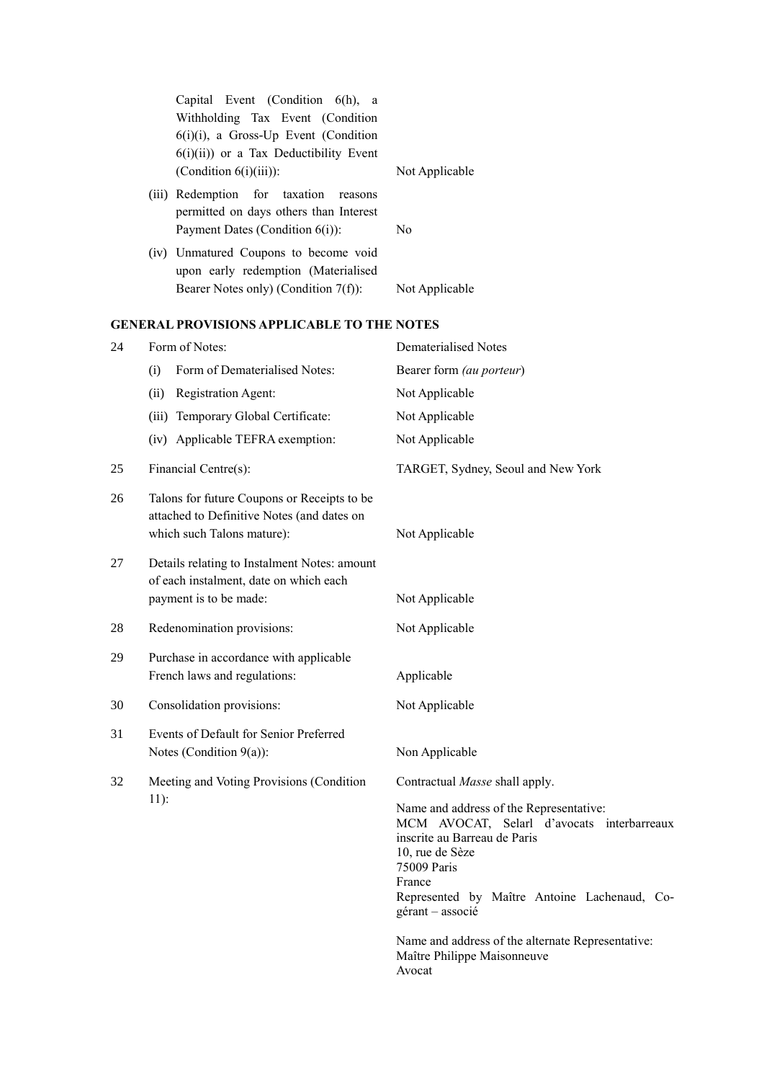|    |        | Capital Event (Condition 6(h), a<br>Withholding Tax Event (Condition<br>$6(i)(i)$ , a Gross-Up Event (Condition<br>$6(i)(ii)$ or a Tax Deductibility Event<br>(Condition $6(i)(iii)$ ): | Not Applicable                                                                                                                                                                                                                        |
|----|--------|-----------------------------------------------------------------------------------------------------------------------------------------------------------------------------------------|---------------------------------------------------------------------------------------------------------------------------------------------------------------------------------------------------------------------------------------|
|    |        | (iii) Redemption<br>for<br>taxation<br>reasons<br>permitted on days others than Interest<br>Payment Dates (Condition 6(i)):                                                             | N <sub>0</sub>                                                                                                                                                                                                                        |
|    |        | (iv) Unmatured Coupons to become void<br>upon early redemption (Materialised<br>Bearer Notes only) (Condition 7(f)):                                                                    | Not Applicable                                                                                                                                                                                                                        |
|    |        | <b>GENERAL PROVISIONS APPLICABLE TO THE NOTES</b>                                                                                                                                       |                                                                                                                                                                                                                                       |
| 24 |        | Form of Notes:                                                                                                                                                                          | <b>Dematerialised Notes</b>                                                                                                                                                                                                           |
|    | (i)    | Form of Dematerialised Notes:                                                                                                                                                           | Bearer form (au porteur)                                                                                                                                                                                                              |
|    | (ii)   | Registration Agent:                                                                                                                                                                     | Not Applicable                                                                                                                                                                                                                        |
|    |        | (iii) Temporary Global Certificate:                                                                                                                                                     | Not Applicable                                                                                                                                                                                                                        |
|    |        | (iv) Applicable TEFRA exemption:                                                                                                                                                        | Not Applicable                                                                                                                                                                                                                        |
| 25 |        | Financial Centre(s):                                                                                                                                                                    | TARGET, Sydney, Seoul and New York                                                                                                                                                                                                    |
| 26 |        | Talons for future Coupons or Receipts to be<br>attached to Definitive Notes (and dates on<br>which such Talons mature):                                                                 | Not Applicable                                                                                                                                                                                                                        |
| 27 |        | Details relating to Instalment Notes: amount<br>of each instalment, date on which each<br>payment is to be made:                                                                        | Not Applicable                                                                                                                                                                                                                        |
| 28 |        | Redenomination provisions:                                                                                                                                                              | Not Applicable                                                                                                                                                                                                                        |
| 29 |        | Purchase in accordance with applicable<br>French laws and regulations:                                                                                                                  | Applicable                                                                                                                                                                                                                            |
| 30 |        | Consolidation provisions:                                                                                                                                                               | Not Applicable                                                                                                                                                                                                                        |
| 31 |        | Events of Default for Senior Preferred<br>Notes (Condition $9(a)$ ):                                                                                                                    | Non Applicable                                                                                                                                                                                                                        |
| 32 |        | Meeting and Voting Provisions (Condition                                                                                                                                                | Contractual Masse shall apply.                                                                                                                                                                                                        |
|    | $11$ : |                                                                                                                                                                                         | Name and address of the Representative:<br>MCM AVOCAT, Selarl d'avocats interbarreaux<br>inscrite au Barreau de Paris<br>10, rue de Sèze<br>75009 Paris<br>France<br>Represented by Maître Antoine Lachenaud, Co-<br>gérant - associé |
|    |        |                                                                                                                                                                                         | Name and address of the alternate Representative:<br>Maître Philippe Maisonneuve<br>Avocat                                                                                                                                            |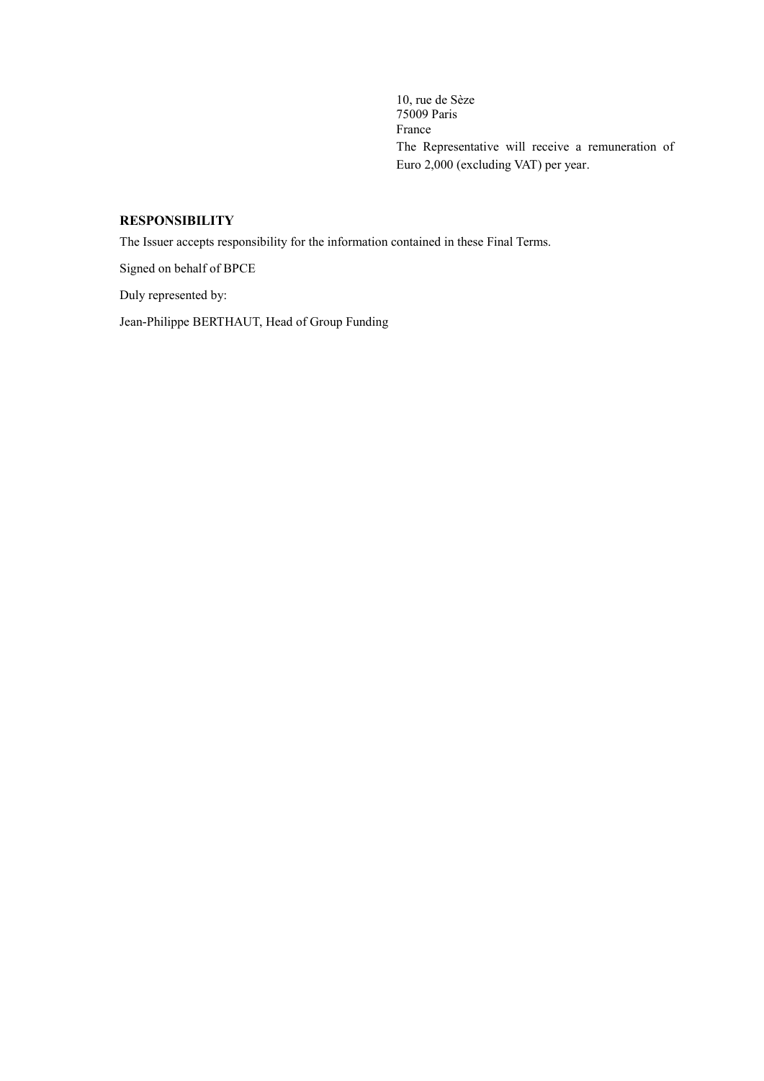10, rue de Sèze 75009 Paris France The Representative will receive a remuneration of Euro 2,000 (excluding VAT) per year.

# **RESPONSIBILITY**

The Issuer accepts responsibility for the information contained in these Final Terms.

Signed on behalf of BPCE

Duly represented by:

Jean-Philippe BERTHAUT, Head of Group Funding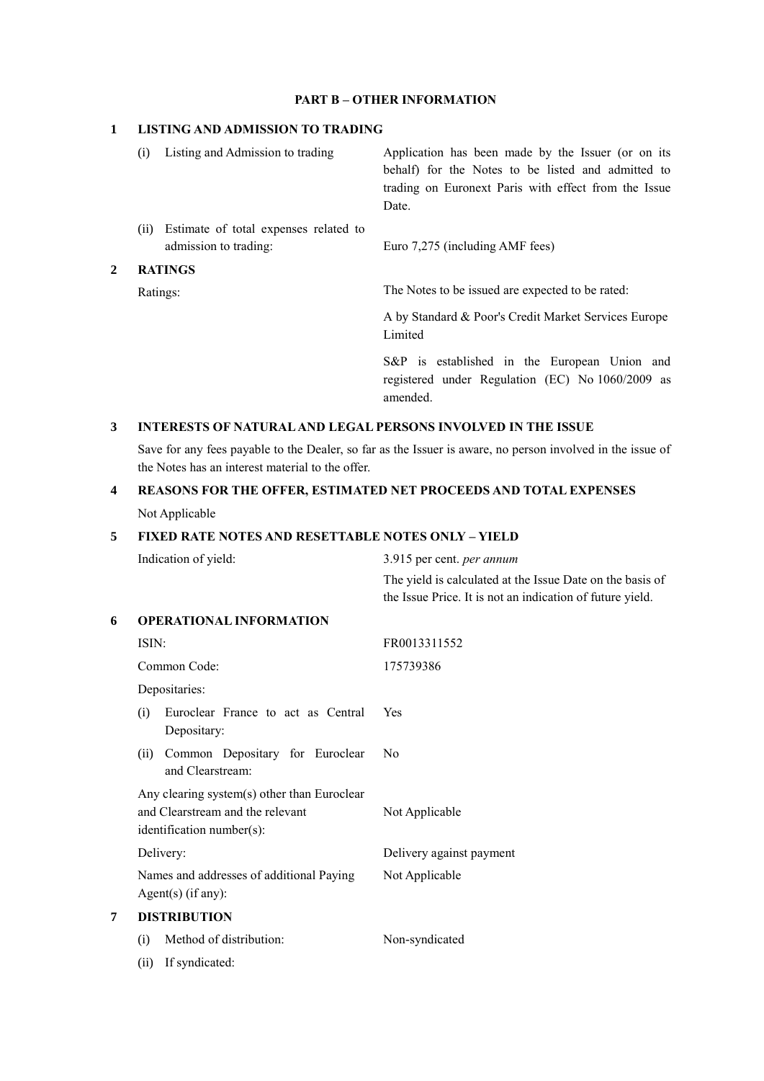#### **PART B – OTHER INFORMATION**

#### **1 LISTING AND ADMISSION TO TRADING**

|     | admission to trading:<br><b>RATINGS</b> | Euro 7,275 (including AMF fees)                                                                          |
|-----|-----------------------------------------|----------------------------------------------------------------------------------------------------------|
| (i) | Estimate of total expenses related to   |                                                                                                          |
|     |                                         | Date.                                                                                                    |
|     |                                         | trading on Euronext Paris with effect from the Issue                                                     |
| (i) | Listing and Admission to trading        | Application has been made by the Issuer (or on its<br>behalf) for the Notes to be listed and admitted to |
|     |                                         |                                                                                                          |

Ratings: The Notes to be issued are expected to be rated:

A by Standard & Poor's Credit Market Services Europe Limited

S&P is established in the European Union and registered under Regulation (EC) No 1060/2009 as amended.

#### **3 INTERESTS OF NATURAL AND LEGAL PERSONS INVOLVED IN THE ISSUE**

Save for any fees payable to the Dealer, so far as the Issuer is aware, no person involved in the issue of the Notes has an interest material to the offer.

# **4 REASONS FOR THE OFFER, ESTIMATED NET PROCEEDS AND TOTAL EXPENSES**

Not Applicable

## **5 FIXED RATE NOTES AND RESETTABLE NOTES ONLY – YIELD**

Indication of yield: 3.915 per cent. *per annum*

The yield is calculated at the Issue Date on the basis of the Issue Price. It is not an indication of future yield.

## **6 OPERATIONAL INFORMATION**

|   | ISIN:                                                                                                        | FR0013311552             |
|---|--------------------------------------------------------------------------------------------------------------|--------------------------|
|   | Common Code:                                                                                                 | 175739386                |
|   | Depositaries:                                                                                                |                          |
|   | Euroclear France to act as Central<br>(i)<br>Depositary:                                                     | Yes                      |
|   | Common Depositary for Euroclear<br>(ii)<br>and Clearstream:                                                  | No                       |
|   | Any clearing system(s) other than Euroclear<br>and Clearstream and the relevant<br>identification number(s): | Not Applicable           |
|   | Delivery:                                                                                                    | Delivery against payment |
|   | Names and addresses of additional Paying<br>Agent $(s)$ (if any):                                            | Not Applicable           |
| 7 | <b>DISTRIBUTION</b>                                                                                          |                          |
|   | Method of distribution:<br>(i)                                                                               | Non-syndicated           |
|   | If syndicated:<br>(ii)                                                                                       |                          |